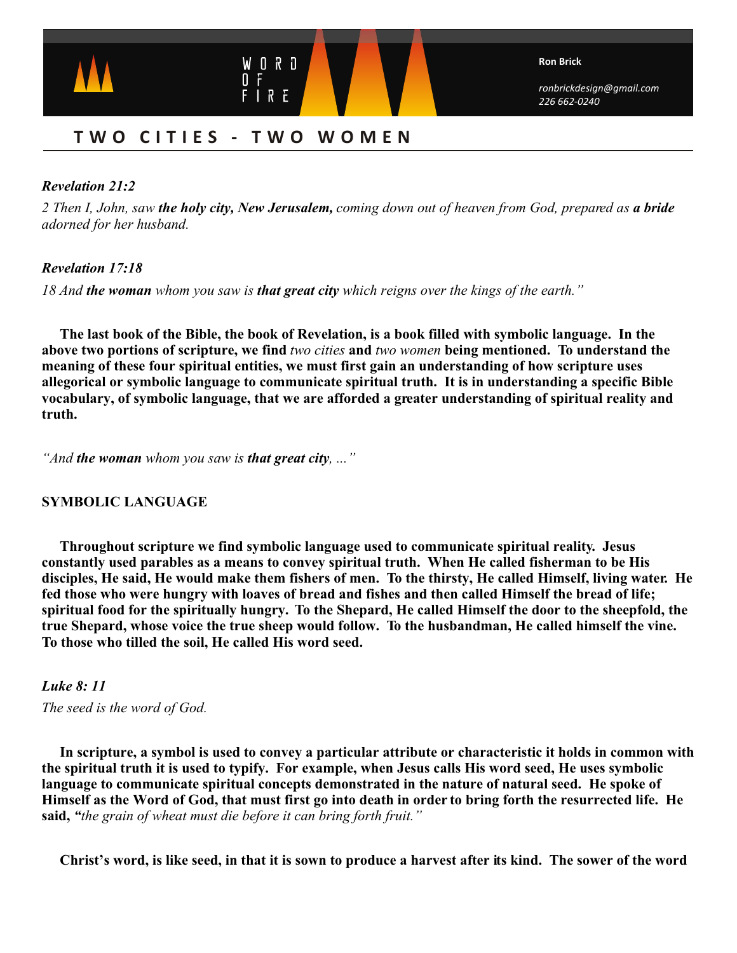

# **TWO CITIES - TWO WOMEN**

### *Revelation 21:2*

*2 Then I, John, saw the holy city, New Jerusalem, coming down out of heaven from God, prepared as a bride adorned for her husband.*

### *Revelation 17:18*

*18 And the woman whom you saw is that great city which reigns over the kings of the earth."*

**The last book of the Bible, the book of Revelation, is a book filled with symbolic language. In the above two portions of scripture, we find** *two cities* **and** *two women* **being mentioned. To understand the meaning of these four spiritual entities, we must first gain an understanding of how scripture uses allegorical or symbolic language to communicate spiritual truth. It is in understanding a specific Bible vocabulary, of symbolic language, that we are afforded a greater understanding of spiritual reality and truth.**

*"And the woman whom you saw is that great city, ..."*

### **SYMBOLIC LANGUAGE**

**Throughout scripture we find symbolic language used to communicate spiritual reality. Jesus constantly used parables as a means to convey spiritual truth. When He called fisherman to be His disciples, He said, He would make them fishers of men. To the thirsty, He called Himself, living water. He fed those who were hungry with loaves of bread and fishes and then called Himself the bread of life; spiritual food for the spiritually hungry. To the Shepard, He called Himself the door to the sheepfold, the true Shepard, whose voice the true sheep would follow. To the husbandman, He called himself the vine. To those who tilled the soil, He called His word seed.**

### *Luke 8: 11*

*The seed is the word of God.*

**In scripture, a symbol is used to convey a particular attribute or characteristic it holds in common with the spiritual truth it is used to typify. For example, when Jesus calls His word seed, He uses symbolic language to communicate spiritual concepts demonstrated in the nature of natural seed. He spoke of Himself as the Word of God, that must first go into death in order to bring forth the resurrected life. He said,** *"the grain of wheat must die before it can bring forth fruit."*

 **Christ's word, is like seed, in that it is sown to produce a harvest after its kind. The sower of the word**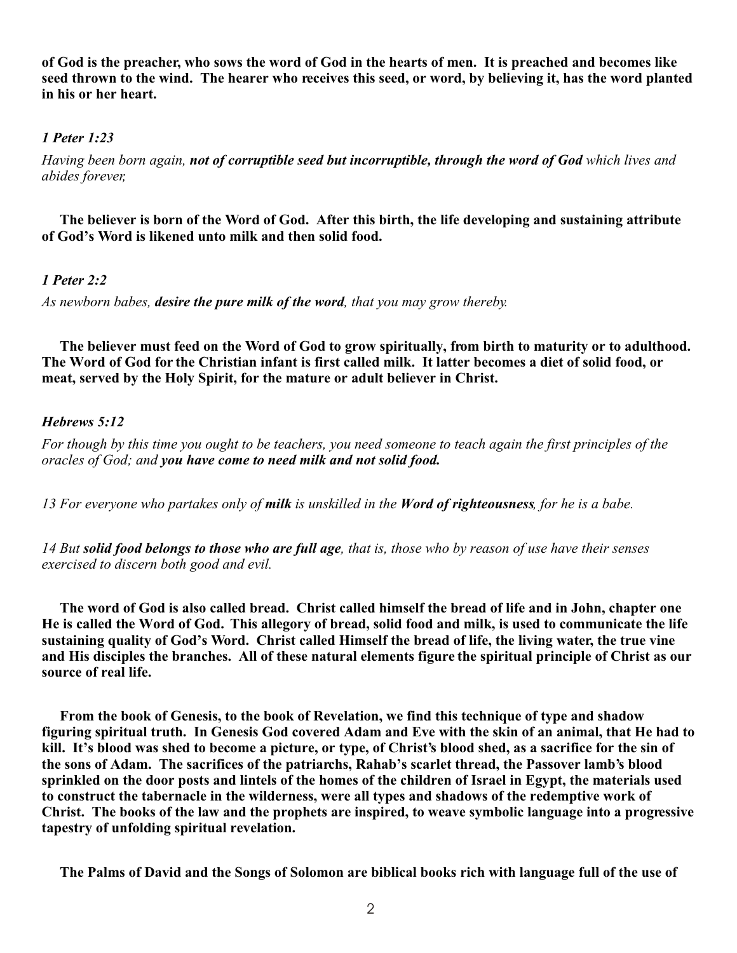**of God is the preacher, who sows the word of God in the hearts of men. It is preached and becomes like seed thrown to the wind. The hearer who receives this seed, or word, by believing it, has the word planted in his or her heart.**

### *1 Peter 1:23*

*Having been born again, not of corruptible seed but incorruptible, through the word of God which lives and abides forever,*

**The believer is born of the Word of God. After this birth, the life developing and sustaining attribute of God's Word is likened unto milk and then solid food.**

### *1 Peter 2:2*

*As newborn babes, desire the pure milk of the word, that you may grow thereby.*

**The believer must feed on the Word of God to grow spiritually, from birth to maturity or to adulthood. The Word of God for the Christian infant is first called milk. It latter becomes a diet of solid food, or meat, served by the Holy Spirit, for the mature or adult believer in Christ.** 

### *Hebrews 5:12*

*For though by this time you ought to be teachers, you need someone to teach again the first principles of the oracles of God; and you have come to need milk and not solid food.*

*13 For everyone who partakes only of milk is unskilled in the Word of righteousness, for he is a babe.*

*14 But solid food belongs to those who are full age, that is, those who by reason of use have their senses exercised to discern both good and evil.*

**The word of God is also called bread. Christ called himself the bread of life and in John, chapter one He is called the Word of God. This allegory of bread, solid food and milk, is used to communicate the life sustaining quality of God's Word. Christ called Himself the bread of life, the living water, the true vine and His disciples the branches. All of these natural elements figure the spiritual principle of Christ as our source of real life.**

 **From the book of Genesis, to the book of Revelation, we find this technique of type and shadow figuring spiritual truth. In Genesis God covered Adam and Eve with the skin of an animal, that He had to kill. It's blood was shed to become a picture, or type, of Christ's blood shed, as a sacrifice for the sin of the sons of Adam. The sacrifices of the patriarchs, Rahab's scarlet thread, the Passover lamb's blood sprinkled on the door posts and lintels of the homes of the children of Israel in Egypt, the materials used to construct the tabernacle in the wilderness, were all types and shadows of the redemptive work of Christ. The books of the law and the prophets are inspired, to weave symbolic language into a progressive tapestry of unfolding spiritual revelation.**

**The Palms of David and the Songs of Solomon are biblical books rich with language full of the use of**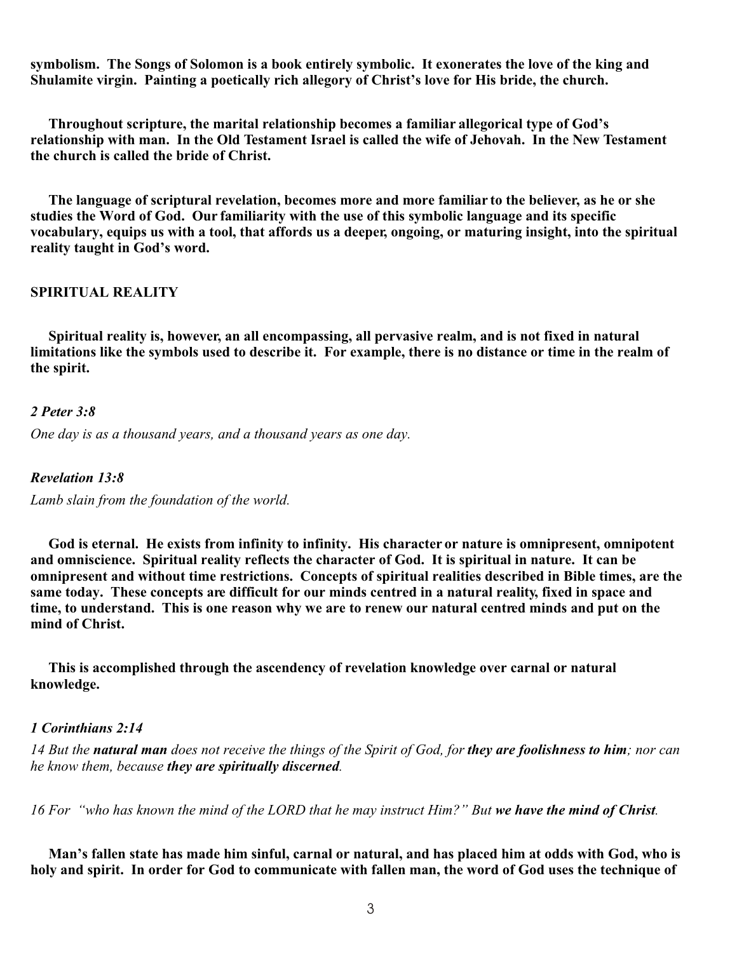**symbolism. The Songs of Solomon is a book entirely symbolic. It exonerates the love of the king and Shulamite virgin. Painting a poetically rich allegory of Christ's love for His bride, the church.**

**Throughout scripture, the marital relationship becomes a familiar allegorical type of God's relationship with man. In the Old Testament Israel is called the wife of Jehovah. In the New Testament the church is called the bride of Christ.**

 **The language of scriptural revelation, becomes more and more familiar to the believer, as he or she studies the Word of God. Our familiarity with the use of this symbolic language and its specific vocabulary, equips us with a tool, that affords us a deeper, ongoing, or maturing insight, into the spiritual reality taught in God's word.**

#### **SPIRITUAL REALITY**

 **Spiritual reality is, however, an all encompassing, all pervasive realm, and is not fixed in natural limitations like the symbols used to describe it. For example, there is no distance or time in the realm of the spirit.**

#### *2 Peter 3:8*

*One day is as a thousand years, and a thousand years as one day.*

*Revelation 13:8*

*Lamb slain from the foundation of the world.*

 **God is eternal. He exists from infinity to infinity. His character or nature is omnipresent, omnipotent and omniscience. Spiritual reality reflects the character of God. It is spiritual in nature. It can be omnipresent and without time restrictions. Concepts of spiritual realities described in Bible times, are the same today. These concepts are difficult for our minds centred in a natural reality, fixed in space and time, to understand. This is one reason why we are to renew our natural centred minds and put on the mind of Christ.**

 **This is accomplished through the ascendency of revelation knowledge over carnal or natural knowledge.**

### *1 Corinthians 2:14*

*14 But the natural man does not receive the things of the Spirit of God, for they are foolishness to him; nor can he know them, because they are spiritually discerned.*

*16 For "who has known the mind of the LORD that he may instruct Him?" But we have the mind of Christ.*

**Man's fallen state has made him sinful, carnal or natural, and has placed him at odds with God, who is holy and spirit. In order for God to communicate with fallen man, the word of God uses the technique of**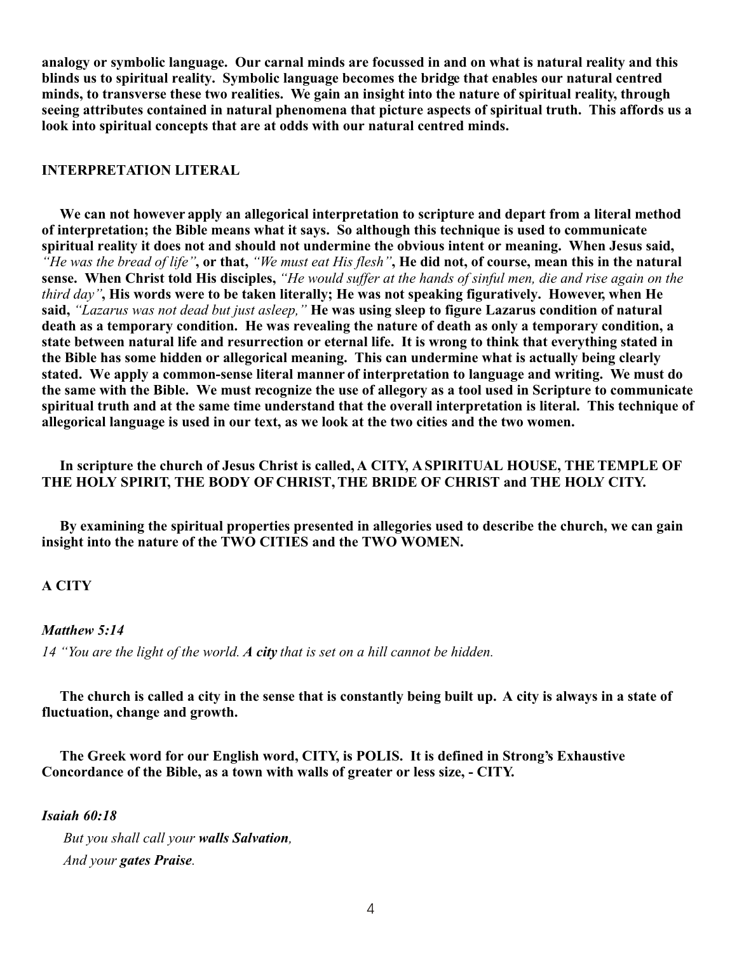**analogy or symbolic language. Our carnal minds are focussed in and on what is natural reality and this blinds us to spiritual reality. Symbolic language becomes the bridge that enables our natural centred minds, to transverse these two realities. We gain an insight into the nature of spiritual reality, through seeing attributes contained in natural phenomena that picture aspects of spiritual truth. This affords us a look into spiritual concepts that are at odds with our natural centred minds.**

#### **INTERPRETATION LITERAL**

 **We can not however apply an allegorical interpretation to scripture and depart from a literal method of interpretation; the Bible means what it says. So although this technique is used to communicate spiritual reality it does not and should not undermine the obvious intent or meaning. When Jesus said,**  *"He was the bread of life"***, or that,** *"We must eat His flesh"***, He did not, of course, mean this in the natural sense. When Christ told His disciples,** *"He would suffer at the hands of sinful men, die and rise again on the third day"***, His words were to be taken literally; He was not speaking figuratively. However, when He said,** *"Lazarus was not dead but just asleep,"* **He was using sleep to figure Lazarus condition of natural death as a temporary condition. He was revealing the nature of death as only a temporary condition, a state between natural life and resurrection or eternal life. It is wrong to think that everything stated in the Bible has some hidden or allegorical meaning. This can undermine what is actually being clearly stated. We apply a common-sense literal manner of interpretation to language and writing. We must do the same with the Bible. We must recognize the use of allegory as a tool used in Scripture to communicate spiritual truth and at the same time understand that the overall interpretation is literal. This technique of allegorical language is used in our text, as we look at the two cities and the two women.**

### **In scripture the church of Jesus Christ is called, A CITY, A SPIRITUAL HOUSE, THE TEMPLE OF THE HOLY SPIRIT, THE BODY OF CHRIST, THE BRIDE OF CHRIST and THE HOLY CITY.**

 **By examining the spiritual properties presented in allegories used to describe the church, we can gain insight into the nature of the TWO CITIES and the TWO WOMEN.**

### **A CITY**

#### *Matthew 5:14*

*14 "You are the light of the world. A city that is set on a hill cannot be hidden.*

 **The church is called a city in the sense that is constantly being built up. A city is always in a state of fluctuation, change and growth.**

 **The Greek word for our English word, CITY, is POLIS. It is defined in Strong's Exhaustive Concordance of the Bible, as a town with walls of greater or less size, - CITY.**

#### *Isaiah 60:18*

 *But you shall call your walls Salvation, And your gates Praise.*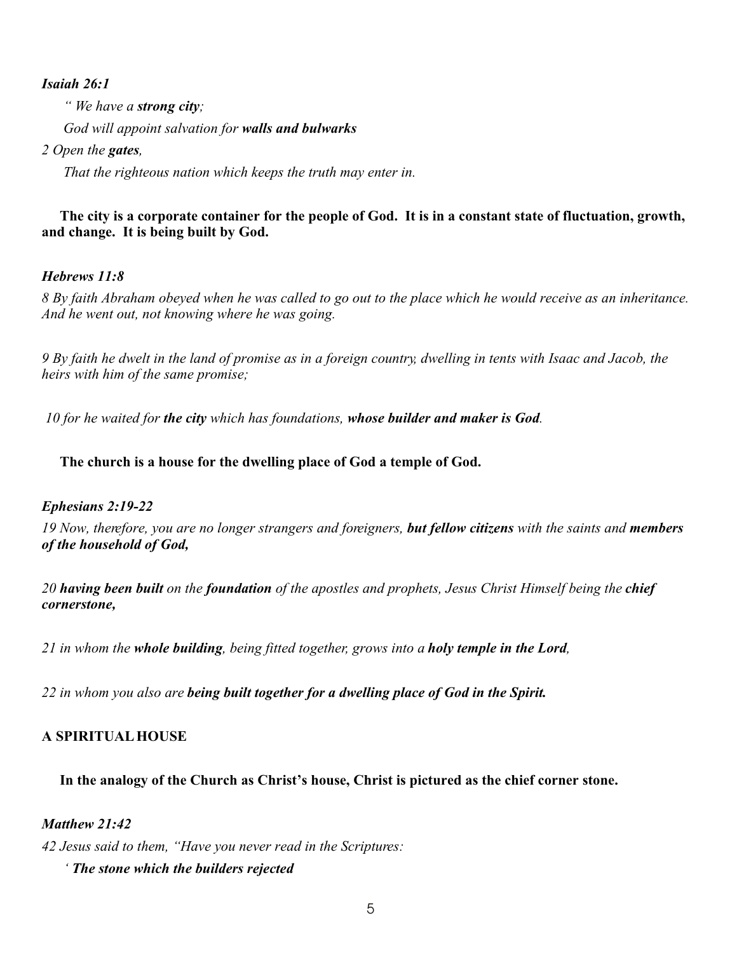### *Isaiah 26:1*

 *" We have a strong city; God will appoint salvation for walls and bulwarks*

### *2 Open the gates,*

 *That the righteous nation which keeps the truth may enter in.*

### **The city is a corporate container for the people of God. It is in a constant state of fluctuation, growth, and change. It is being built by God.**

# *Hebrews 11:8*

*8 By faith Abraham obeyed when he was called to go out to the place which he would receive as an inheritance. And he went out, not knowing where he was going.*

*9 By faith he dwelt in the land of promise as in a foreign country, dwelling in tents with Isaac and Jacob, the heirs with him of the same promise;*

 *10 for he waited for the city which has foundations, whose builder and maker is God.*

### **The church is a house for the dwelling place of God a temple of God.**

### *Ephesians 2:19-22*

*19 Now, therefore, you are no longer strangers and foreigners, but fellow citizens with the saints and members of the household of God,*

*20 having been built on the foundation of the apostles and prophets, Jesus Christ Himself being the chief cornerstone,*

*21 in whom the whole building, being fitted together, grows into a holy temple in the Lord,*

*22 in whom you also are being built together for a dwelling place of God in the Spirit.*

# **A SPIRITUAL HOUSE**

### **In the analogy of the Church as Christ's house, Christ is pictured as the chief corner stone.**

### *Matthew 21:42*

*42 Jesus said to them, "Have you never read in the Scriptures:*

 *' The stone which the builders rejected*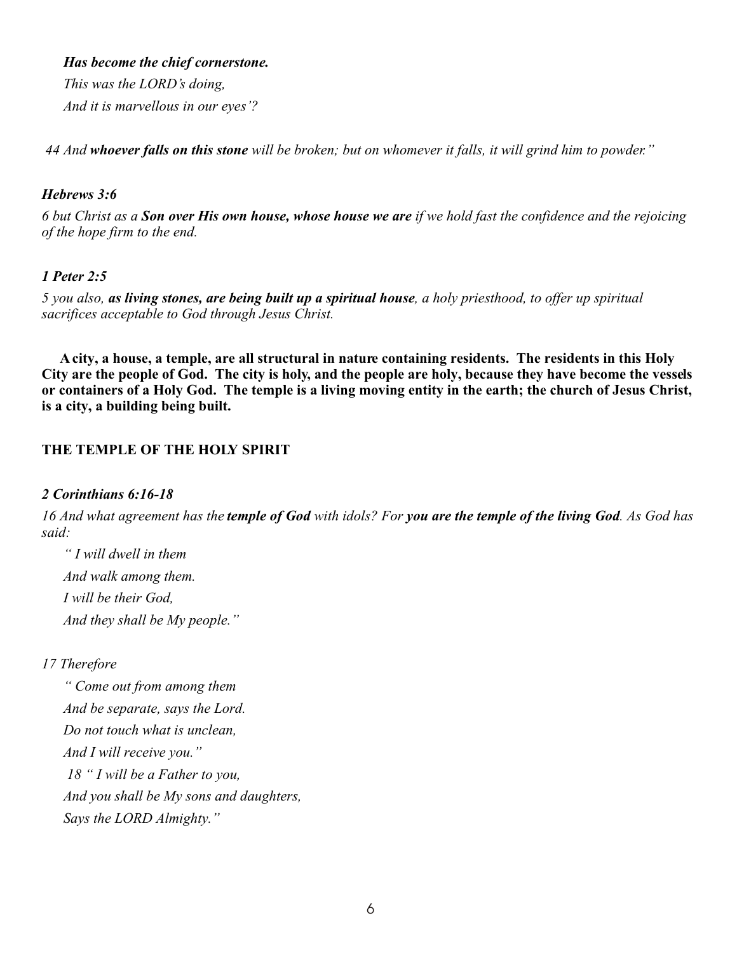*Has become the chief cornerstone.*

 *This was the LORD's doing, And it is marvellous in our eyes'?*

 *44 And whoever falls on this stone will be broken; but on whomever it falls, it will grind him to powder."*

### *Hebrews 3:6*

*6 but Christ as a Son over His own house, whose house we are if we hold fast the confidence and the rejoicing of the hope firm to the end.*

# *1 Peter 2:5*

*5 you also, as living stones, are being built up a spiritual house, a holy priesthood, to offer up spiritual sacrifices acceptable to God through Jesus Christ.*

 **A city, a house, a temple, are all structural in nature containing residents. The residents in this Holy City are the people of God. The city is holy, and the people are holy, because they have become the vessels or containers of a Holy God. The temple is a living moving entity in the earth; the church of Jesus Christ, is a city, a building being built.**

# **THE TEMPLE OF THE HOLY SPIRIT**

### *2 Corinthians 6:16-18*

*16 And what agreement has the temple of God with idols? For you are the temple of the living God. As God has said:*

 *" I will dwell in them And walk among them. I will be their God, And they shall be My people."*

# *17 Therefore*

 *" Come out from among them And be separate, says the Lord. Do not touch what is unclean, And I will receive you." 18 " I will be a Father to you, And you shall be My sons and daughters, Says the LORD Almighty."*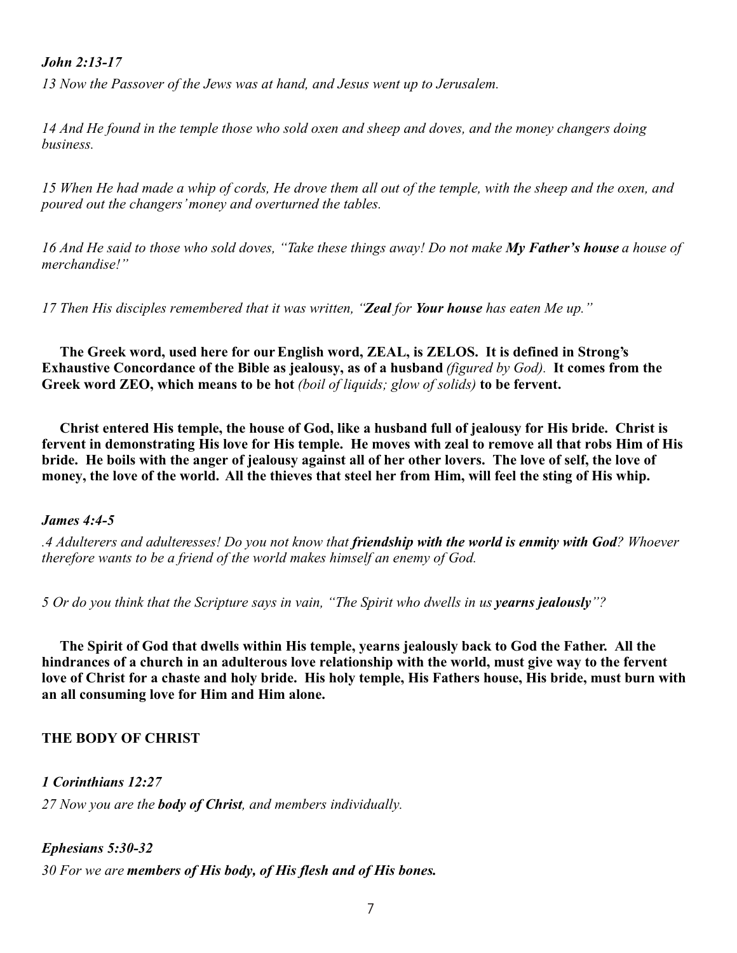### *John 2:13-17*

*13 Now the Passover of the Jews was at hand, and Jesus went up to Jerusalem.*

*14 And He found in the temple those who sold oxen and sheep and doves, and the money changers doing business.*

*15 When He had made a whip of cords, He drove them all out of the temple, with the sheep and the oxen, and poured out the changers' money and overturned the tables.*

*16 And He said to those who sold doves, "Take these things away! Do not make My Father's house a house of merchandise!"*

*17 Then His disciples remembered that it was written, "Zeal for Your house has eaten Me up."*

 **The Greek word, used here for our English word, ZEAL, is ZELOS. It is defined in Strong's Exhaustive Concordance of the Bible as jealousy, as of a husband** *(figured by God).* **It comes from the Greek word ZEO, which means to be hot** *(boil of liquids; glow of solids)* **to be fervent.**

 **Christ entered His temple, the house of God, like a husband full of jealousy for His bride. Christ is fervent in demonstrating His love for His temple. He moves with zeal to remove all that robs Him of His bride. He boils with the anger of jealousy against all of her other lovers. The love of self, the love of money, the love of the world. All the thieves that steel her from Him, will feel the sting of His whip.**

#### *James 4:4-5*

*.4 Adulterers and adulteresses! Do you not know that friendship with the world is enmity with God? Whoever therefore wants to be a friend of the world makes himself an enemy of God.*

*5 Or do you think that the Scripture says in vain, "The Spirit who dwells in us yearns jealously"?*

 **The Spirit of God that dwells within His temple, yearns jealously back to God the Father. All the hindrances of a church in an adulterous love relationship with the world, must give way to the fervent love of Christ for a chaste and holy bride. His holy temple, His Fathers house, His bride, must burn with an all consuming love for Him and Him alone.**

### **THE BODY OF CHRIST**

*1 Corinthians 12:27*

*27 Now you are the body of Christ, and members individually.*

### *Ephesians 5:30-32*

*30 For we are members of His body, of His flesh and of His bones.*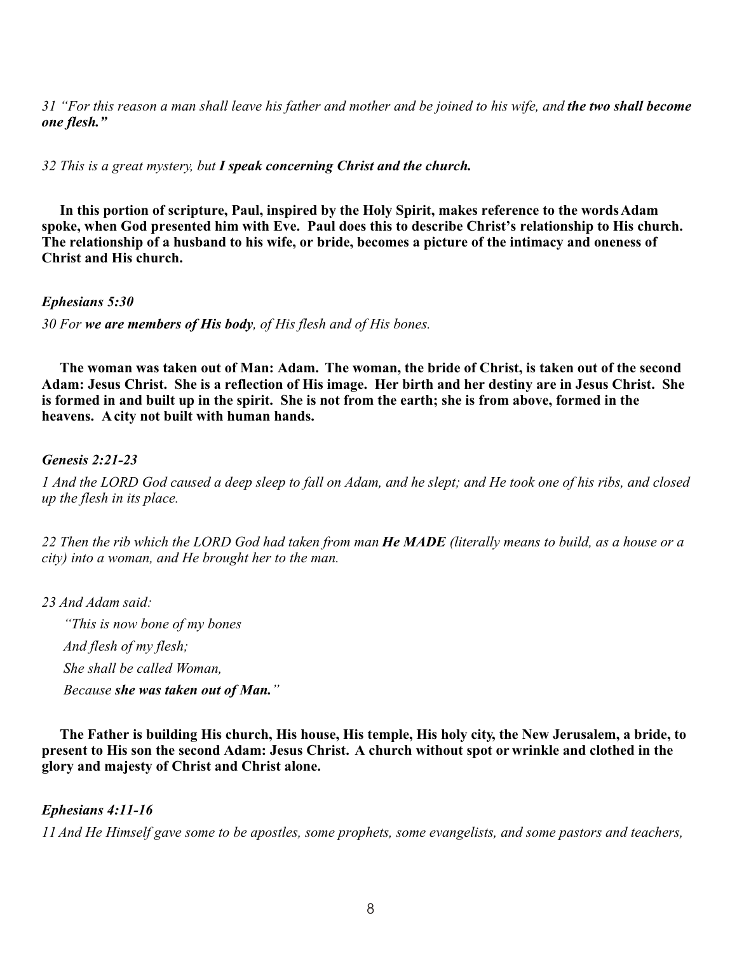*31 "For this reason a man shall leave his father and mother and be joined to his wife, and the two shall become one flesh."*

*32 This is a great mystery, but I speak concerning Christ and the church.*

 **In this portion of scripture, Paul, inspired by the Holy Spirit, makes reference to the words Adam spoke, when God presented him with Eve. Paul does this to describe Christ's relationship to His church. The relationship of a husband to his wife, or bride, becomes a picture of the intimacy and oneness of Christ and His church.**

*Ephesians 5:30*

*30 For we are members of His body, of His flesh and of His bones.*

 **The woman was taken out of Man: Adam. The woman, the bride of Christ, is taken out of the second Adam: Jesus Christ. She is a reflection of His image. Her birth and her destiny are in Jesus Christ. She is formed in and built up in the spirit. She is not from the earth; she is from above, formed in the heavens. A city not built with human hands.**

# *Genesis 2:21-23*

*1 And the LORD God caused a deep sleep to fall on Adam, and he slept; and He took one of his ribs, and closed up the flesh in its place.*

*22 Then the rib which the LORD God had taken from man He MADE (literally means to build, as a house or a city) into a woman, and He brought her to the man.*

*23 And Adam said:*

 *"This is now bone of my bones And flesh of my flesh; She shall be called Woman, Because she was taken out of Man."*

 **The Father is building His church, His house, His temple, His holy city, the New Jerusalem, a bride, to present to His son the second Adam: Jesus Christ. A church without spot or wrinkle and clothed in the glory and majesty of Christ and Christ alone.**

# *Ephesians 4:11-16*

*11 And He Himself gave some to be apostles, some prophets, some evangelists, and some pastors and teachers,*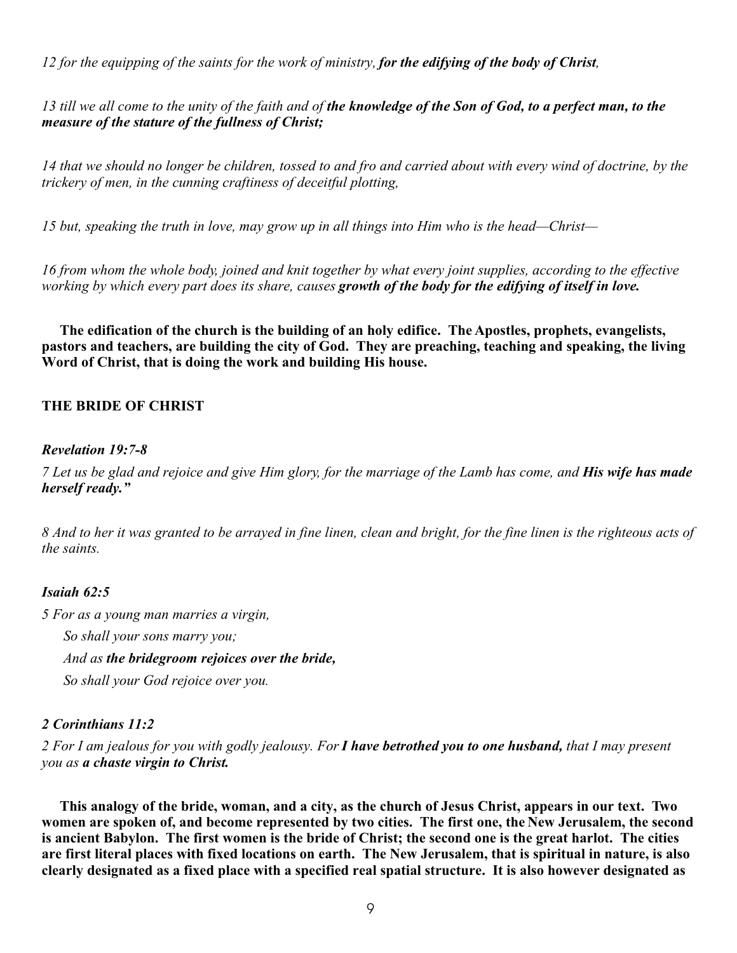*12 for the equipping of the saints for the work of ministry, for the edifying of the body of Christ,*

*13 till we all come to the unity of the faith and of the knowledge of the Son of God, to a perfect man, to the measure of the stature of the fullness of Christ;*

*14 that we should no longer be children, tossed to and fro and carried about with every wind of doctrine, by the trickery of men, in the cunning craftiness of deceitful plotting,*

*15 but, speaking the truth in love, may grow up in all things into Him who is the head—Christ—*

*16 from whom the whole body, joined and knit together by what every joint supplies, according to the effective working by which every part does its share, causes growth of the body for the edifying of itself in love.*

**The edification of the church is the building of an holy edifice. The Apostles, prophets, evangelists, pastors and teachers, are building the city of God. They are preaching, teaching and speaking, the living Word of Christ, that is doing the work and building His house.**

### **THE BRIDE OF CHRIST**

### *Revelation 19:7-8*

*7 Let us be glad and rejoice and give Him glory, for the marriage of the Lamb has come, and His wife has made herself ready."*

*8 And to her it was granted to be arrayed in fine linen, clean and bright, for the fine linen is the righteous acts of the saints.* 

### *Isaiah 62:5*

*5 For as a young man marries a virgin,*

 *So shall your sons marry you;*

 *And as the bridegroom rejoices over the bride,*

 *So shall your God rejoice over you.* 

# *2 Corinthians 11:2*

*2 For I am jealous for you with godly jealousy. For I have betrothed you to one husband, that I may present you as a chaste virgin to Christ.*

**This analogy of the bride, woman, and a city, as the church of Jesus Christ, appears in our text. Two women are spoken of, and become represented by two cities. The first one, the New Jerusalem, the second is ancient Babylon. The first women is the bride of Christ; the second one is the great harlot. The cities are first literal places with fixed locations on earth. The New Jerusalem, that is spiritual in nature, is also clearly designated as a fixed place with a specified real spatial structure. It is also however designated as**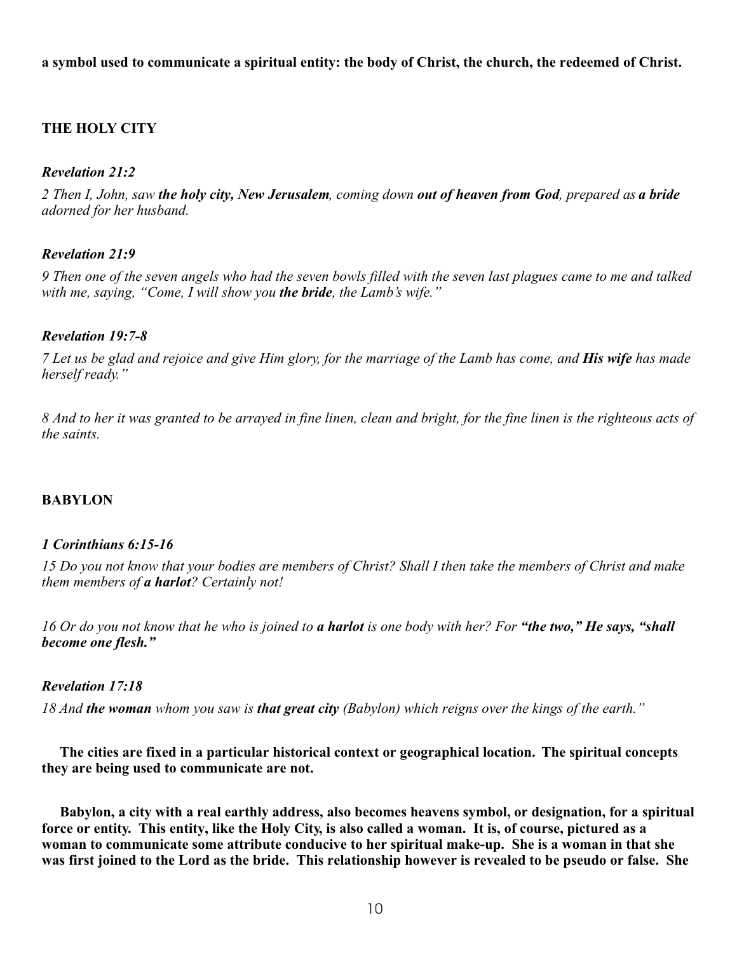**a symbol used to communicate a spiritual entity: the body of Christ, the church, the redeemed of Christ.**

# **THE HOLY CITY**

### *Revelation 21:2*

*2 Then I, John, saw the holy city, New Jerusalem, coming down out of heaven from God, prepared as a bride adorned for her husband.*

### *Revelation 21:9*

*9 Then one of the seven angels who had the seven bowls filled with the seven last plagues came to me and talked with me, saying, "Come, I will show you the bride, the Lamb's wife."*

### *Revelation 19:7-8*

*7 Let us be glad and rejoice and give Him glory, for the marriage of the Lamb has come, and His wife has made herself ready."*

*8 And to her it was granted to be arrayed in fine linen, clean and bright, for the fine linen is the righteous acts of the saints.* 

# **BABYLON**

### *1 Corinthians 6:15-16*

*15 Do you not know that your bodies are members of Christ? Shall I then take the members of Christ and make them members of a harlot? Certainly not!*

*16 Or do you not know that he who is joined to a harlot is one body with her? For "the two," He says, "shall become one flesh."*

### *Revelation 17:18*

*18 And the woman whom you saw is that great city (Babylon) which reigns over the kings of the earth."*

**The cities are fixed in a particular historical context or geographical location. The spiritual concepts they are being used to communicate are not.**

**Babylon, a city with a real earthly address, also becomes heavens symbol, or designation, for a spiritual force or entity. This entity, like the Holy City, is also called a woman. It is, of course, pictured as a woman to communicate some attribute conducive to her spiritual make-up. She is a woman in that she was first joined to the Lord as the bride. This relationship however is revealed to be pseudo or false. She**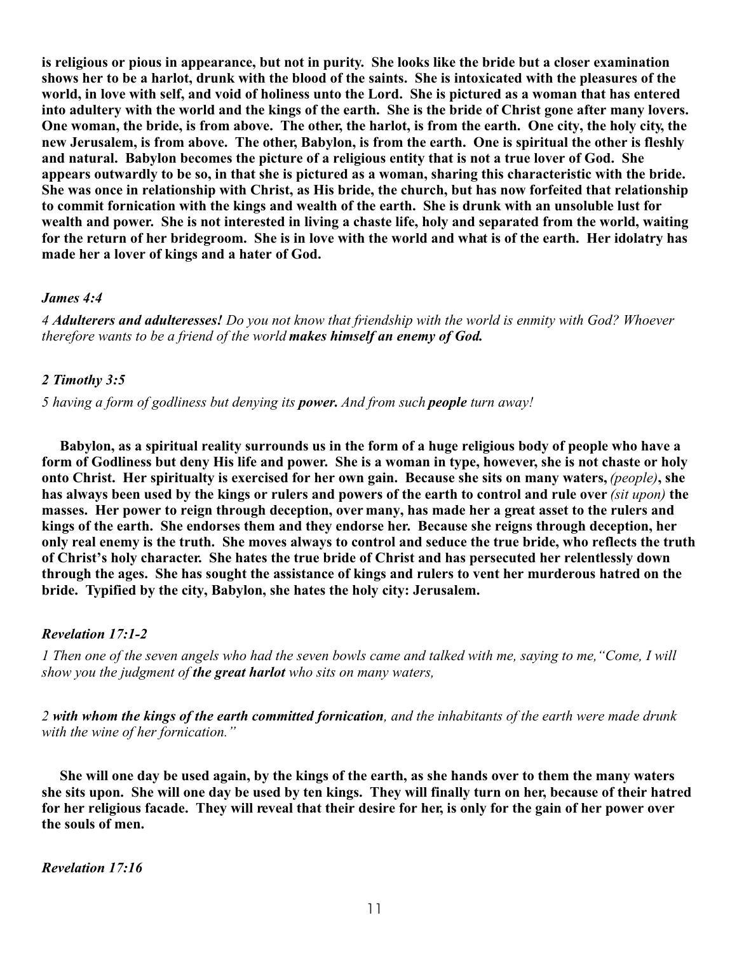**is religious or pious in appearance, but not in purity. She looks like the bride but a closer examination shows her to be a harlot, drunk with the blood of the saints. She is intoxicated with the pleasures of the world, in love with self, and void of holiness unto the Lord. She is pictured as a woman that has entered into adultery with the world and the kings of the earth. She is the bride of Christ gone after many lovers. One woman, the bride, is from above. The other, the harlot, is from the earth. One city, the holy city, the new Jerusalem, is from above. The other, Babylon, is from the earth. One is spiritual the other is fleshly and natural. Babylon becomes the picture of a religious entity that is not a true lover of God. She appears outwardly to be so, in that she is pictured as a woman, sharing this characteristic with the bride. She was once in relationship with Christ, as His bride, the church, but has now forfeited that relationship to commit fornication with the kings and wealth of the earth. She is drunk with an unsoluble lust for wealth and power. She is not interested in living a chaste life, holy and separated from the world, waiting for the return of her bridegroom. She is in love with the world and what is of the earth. Her idolatry has made her a lover of kings and a hater of God.**

### *James 4:4*

*4 Adulterers and adulteresses! Do you not know that friendship with the world is enmity with God? Whoever therefore wants to be a friend of the world makes himself an enemy of God.*

#### *2 Timothy 3:5*

*5 having a form of godliness but denying its power. And from such people turn away!*

**Babylon, as a spiritual reality surrounds us in the form of a huge religious body of people who have a form of Godliness but deny His life and power. She is a woman in type, however, she is not chaste or holy onto Christ. Her spiritualty is exercised for her own gain. Because she sits on many waters, (people), she has always been used by the kings or rulers and powers of the earth to control and rule over** *(sit upon)* **the masses. Her power to reign through deception, over many, has made her a great asset to the rulers and kings of the earth. She endorses them and they endorse her. Because she reigns through deception, her only real enemy is the truth. She moves always to control and seduce the true bride, who reflects the truth of Christ's holy character. She hates the true bride of Christ and has persecuted her relentlessly down through the ages. She has sought the assistance of kings and rulers to vent her murderous hatred on the bride. Typified by the city, Babylon, she hates the holy city: Jerusalem.**

#### *Revelation 17:1-2*

*1 Then one of the seven angels who had the seven bowls came and talked with me, saying to me,"Come, I will show you the judgment of the great harlot who sits on many waters,*

*2 with whom the kings of the earth committed fornication, and the inhabitants of the earth were made drunk with the wine of her fornication."*

**She will one day be used again, by the kings of the earth, as she hands over to them the many waters she sits upon. She will one day be used by ten kings. They will finally turn on her, because of their hatred for her religious facade. They will reveal that their desire for her, is only for the gain of her power over the souls of men.**

*Revelation 17:16*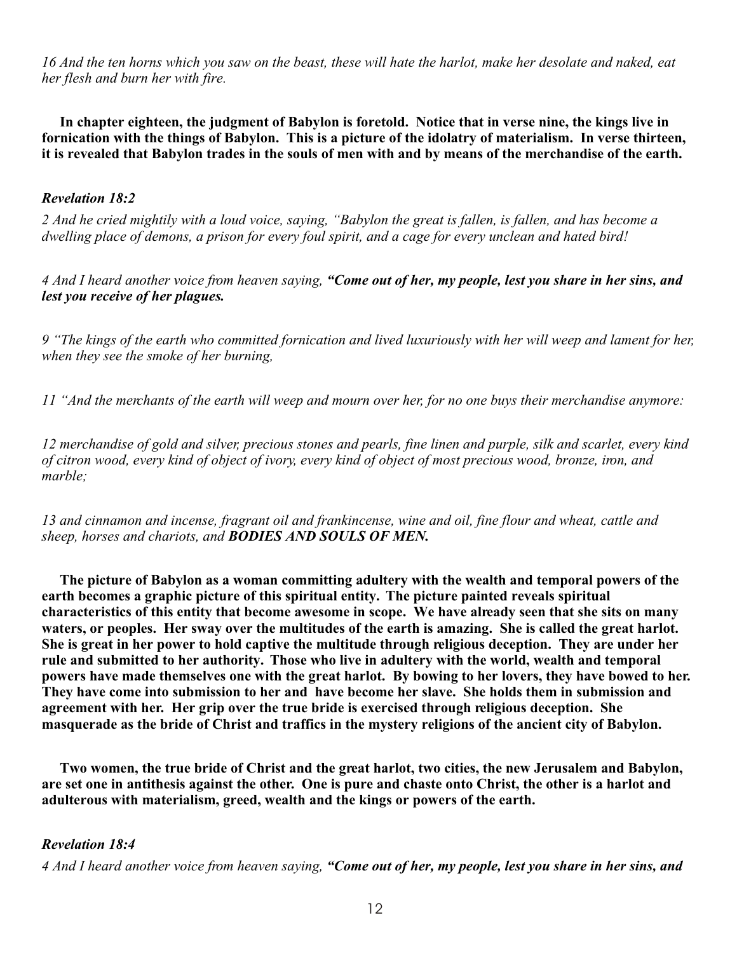*16 And the ten horns which you saw on the beast, these will hate the harlot, make her desolate and naked, eat her flesh and burn her with fire.*

**In chapter eighteen, the judgment of Babylon is foretold. Notice that in verse nine, the kings live in fornication with the things of Babylon. This is a picture of the idolatry of materialism. In verse thirteen, it is revealed that Babylon trades in the souls of men with and by means of the merchandise of the earth.**

### *Revelation 18:2*

*2 And he cried mightily with a loud voice, saying, "Babylon the great is fallen, is fallen, and has become a dwelling place of demons, a prison for every foul spirit, and a cage for every unclean and hated bird!*

*4 And I heard another voice from heaven saying, "Come out of her, my people, lest you share in her sins, and lest you receive of her plagues.*

*9 "The kings of the earth who committed fornication and lived luxuriously with her will weep and lament for her, when they see the smoke of her burning,*

*11 "And the merchants of the earth will weep and mourn over her, for no one buys their merchandise anymore:* 

*12 merchandise of gold and silver, precious stones and pearls, fine linen and purple, silk and scarlet, every kind of citron wood, every kind of object of ivory, every kind of object of most precious wood, bronze, iron, and marble;*

*13 and cinnamon and incense, fragrant oil and frankincense, wine and oil, fine flour and wheat, cattle and sheep, horses and chariots, and BODIES AND SOULS OF MEN.*

**The picture of Babylon as a woman committing adultery with the wealth and temporal powers of the earth becomes a graphic picture of this spiritual entity. The picture painted reveals spiritual characteristics of this entity that become awesome in scope. We have already seen that she sits on many waters, or peoples. Her sway over the multitudes of the earth is amazing. She is called the great harlot. She is great in her power to hold captive the multitude through religious deception. They are under her rule and submitted to her authority. Those who live in adultery with the world, wealth and temporal powers have made themselves one with the great harlot. By bowing to her lovers, they have bowed to her. They have come into submission to her and have become her slave. She holds them in submission and agreement with her. Her grip over the true bride is exercised through religious deception. She masquerade as the bride of Christ and traffics in the mystery religions of the ancient city of Babylon.**

**Two women, the true bride of Christ and the great harlot, two cities, the new Jerusalem and Babylon, are set one in antithesis against the other. One is pure and chaste onto Christ, the other is a harlot and adulterous with materialism, greed, wealth and the kings or powers of the earth.**

### *Revelation 18:4*

*4 And I heard another voice from heaven saying, "Come out of her, my people, lest you share in her sins, and*